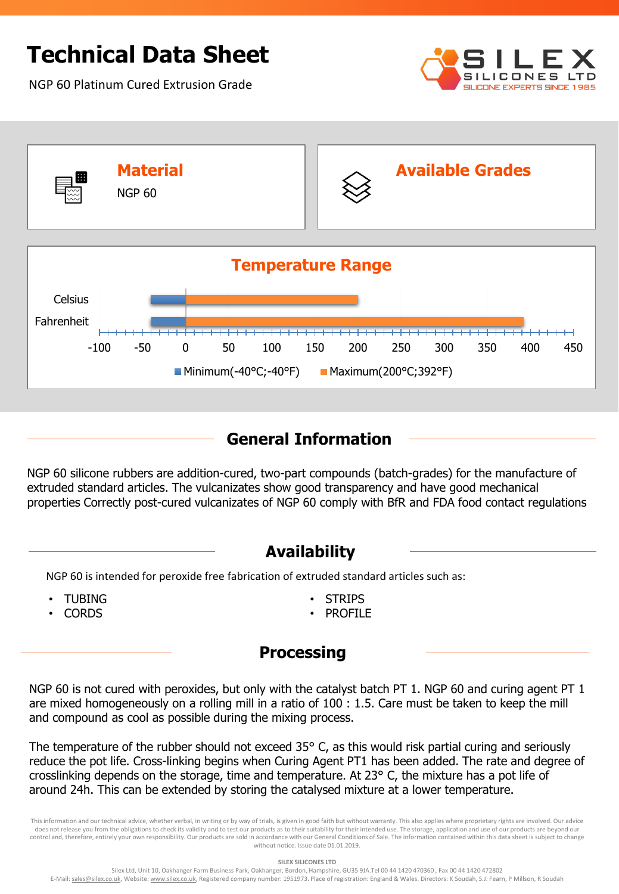# **Technical Data Sheet**

NGP 60 Platinum Cured Extrusion Grade





### **General Information**

NGP 60 silicone rubbers are addition-cured, two-part compounds (batch-grades) for the manufacture of extruded standard articles. The vulcanizates show good transparency and have good mechanical properties Correctly post-cured vulcanizates of NGP 60 comply with BfR and FDA food contact regulations

#### **Availability**

NGP 60 is intended for peroxide free fabrication of extruded standard articles such as:

- TUBING
- CORDS
- **STRIPS**
- PROFILE

#### **Processing**

NGP 60 is not cured with peroxides, but only with the catalyst batch PT 1. NGP 60 and curing agent PT 1 are mixed homogeneously on a rolling mill in a ratio of 100 : 1.5. Care must be taken to keep the mill and compound as cool as possible during the mixing process.

The temperature of the rubber should not exceed 35° C, as this would risk partial curing and seriously reduce the pot life. Cross-linking begins when Curing Agent PT1 has been added. The rate and degree of crosslinking depends on the storage, time and temperature. At 23° C, the mixture has a pot life of around 24h. This can be extended by storing the catalysed mixture at a lower temperature.

This information and our technical advice, whether verbal, in writing or by way of trials, is given in good faith but without warranty. This also applies where proprietary rights are involved. Our advice does not release you from the obligations to check its validity and to test our products as to their suitability for their intended use. The storage, application and use of our products are beyond our control and, therefore, entirely your own responsibility. Our products are sold in accordance with our General Conditions of Sale. The information contained within this data sheet is subject to change without notice. Issue date 01.01.2019.

**SILEX SILICONES LTD**

Silex Ltd, Unit 10, Oakhanger Farm Business Park, Oakhanger, Bordon, Hampshire, GU35 9JA.Tel 00 44 1420 470360 , Fax 00 44 1420 472802 E-Mail: sales@silex.co.uk, Website: www.silex.co.uk, Registered company number: 1951973. Place of registration: England & Wales. Directors: K Soudah, S.J. Fearn, P Millson, R Soudah